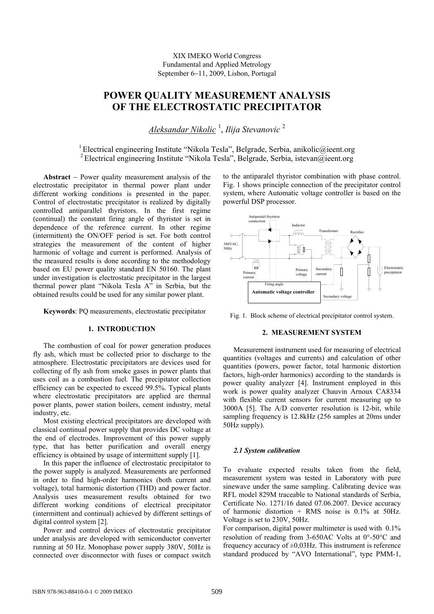XIX IMEKO World Congress Fundamental and Applied Metrology September 6−11, 2009, Lisbon, Portugal

# **POWER QUALITY MEASUREMENT ANALYSIS OF THE ELECTROSTATIC PRECIPITATOR**

*Aleksandar Nikolic* <sup>1</sup> , *Ilija Stevanovic* <sup>2</sup>

<sup>1</sup> Electrical engineering Institute "Nikola Tesla", Belgrade, Serbia, anikolic@ieent.org 2 Electrical engineering Institute "Nikola Tesla", Belgrade, Serbia, istevan@ieent.org

**Abstract** − Power quality measurement analysis of the electrostatic precipitator in thermal power plant under different working conditions is presented in the paper. Control of electrostatic precipitator is realized by digitally controlled antiparallel thyristors. In the first regime (continual) the constant firing angle of thyristor is set in dependence of the reference current. In other regime (intermittent) the ON/OFF period is set. For both control strategies the measurement of the content of higher harmonic of voltage and current is performed. Analysis of the measured results is done according to the methodology based on EU power quality standard EN 50160. The plant under investigation is electrostatic precipitator in the largest thermal power plant "Nikola Tesla A" in Serbia, but the obtained results could be used for any similar power plant.

**Keywords**: PQ measurements, electrostatic precipitator

## **1. INTRODUCTION**

The combustion of coal for power generation produces fly ash, which must be collected prior to discharge to the atmosphere. Electrostatic precipitators are devices used for collecting of fly ash from smoke gases in power plants that uses coil as a combustion fuel. The precipitator collection efficiency can be expected to exceed 99.5%. Typical plants where electrostatic precipitators are applied are thermal power plants, power station boilers, cement industry, metal industry, etc.

Most existing electrical precipitators are developed with classical continual power supply that provides DC voltage at the end of electrodes. Improvement of this power supply type, that has better purification and overall energy efficiency is obtained by usage of intermittent supply [1].

In this paper the influence of electrostatic precipitator to the power supply is analyzed. Measurements are performed in order to find high-order harmonics (both current and voltage), total harmonic distortion (THD) and power factor. Analysis uses measurement results obtained for two different working conditions of electrical precipitator (intermittent and continual) achieved by different settings of digital control system [2].

Power and control devices of electrostatic precipitator under analysis are developed with semiconductor converter running at 50 Hz. Monophase power supply 380V, 50Hz is connected over disconnector with fuses or compact switch

to the antiparalel thyristor combination with phase control. Fig. 1 shows principle connection of the precipitator control system, where Automatic voltage controller is based on the powerful DSP processor.



Fig. 1. Block scheme of electrical precipitator control system.

## **2. MEASUREMENT SYSTEM**

Measurement instrument used for measuring of electrical quantities (voltages and currents) and calculation of other quantities (powers, power factor, total harmonic distortion factors, high-order harmonics) according to the standards is power quality analyzer [4]. Instrument employed in this work is power quality analyzer Chauvin Arnoux CA8334 with flexible current sensors for current measuring up to 3000A [5]. The A/D converter resolution is 12-bit, while sampling frequency is 12.8kHz (256 samples at 20ms under 50Hz supply).

# *2.1 System calibration*

To evaluate expected results taken from the field, measurement system was tested in Laboratory with pure sinewave under the same sampling. Calibrating device was RFL model 829M traceable to National standards of Serbia, Certificate No. 1271/16 dated 07.06.2007. Device accuracy of harmonic distortion  $+$  RMS noise is 0.1% at 50Hz. Voltage is set to 230V, 50Hz.

For comparison, digital power multimeter is used with 0.1% resolution of reading from 3-650AC Volts at 0°-50°C and frequency accuracy of  $\pm 0.03$  Hz. This instrument is reference standard produced by "AVO International", type PMM-1,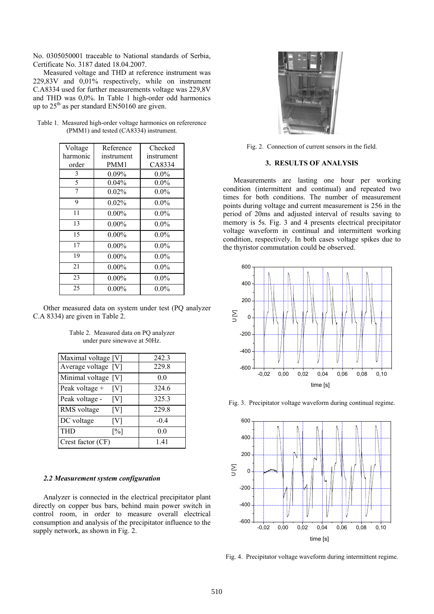No. 0305050001 traceable to National standards of Serbia, Certificate No. 3187 dated 18.04.2007.

Measured voltage and THD at reference instrument was 229,83V and 0,01% respectively, while on instrument C.A8334 used for further measurements voltage was 229,8V and THD was 0,0%. In Table 1 high-order odd harmonics up to  $25<sup>th</sup>$  as per standard EN50160 are given.

| Voltage  | Reference  | Checked    |
|----------|------------|------------|
| harmonic | instrument | instrument |
| order    | PMM1       | CA8334     |
| 3        | $0.09\%$   | $0.0\%$    |
| 5        | 0.04%      | $0.0\%$    |
| 7        | 0.02%      | $0.0\%$    |
| 9        | 0.02%      | $0.0\%$    |
| 11       | $0.00\%$   | $0.0\%$    |
| 13       | $0.00\%$   | $0.0\%$    |
| 15       | $0.00\%$   | $0.0\%$    |
| 17       | $0.00\%$   | $0.0\%$    |
| 19       | $0.00\%$   | $0.0\%$    |
| 21       | $0.00\%$   | $0.0\%$    |
| 23       | $0.00\%$   | $0.0\%$    |
| 25       | $0.00\%$   | $0.0\%$    |

Table 1. Measured high-order voltage harmonics on refererence (PMM1) and tested (CA8334) instrument.

Other measured data on system under test (PQ analyzer C.A 8334) are given in Table 2.

Table 2. Measured data on PQ analyzer under pure sinewave at 50Hz.

| Maximal voltage [V] |      | 242.3  |
|---------------------|------|--------|
| Average voltage [V] |      | 229.8  |
| Minimal voltage [V] |      | 0.0    |
| Peak voltage +      | [V]  | 324.6  |
| Peak voltage -      | [V]  | 325.3  |
| RMS voltage         | [V]  | 229.8  |
| DC voltage          | [V]  | $-0.4$ |
| THD                 | [%]  | 0.0    |
| Crest factor (CF)   | 1.41 |        |

#### *2.2 Measurement system configuration*

Analyzer is connected in the electrical precipitator plant directly on copper bus bars, behind main power switch in control room, in order to measure overall electrical consumption and analysis of the precipitator influence to the supply network, as shown in Fig. 2.



Fig. 2. Connection of current sensors in the field.

# **3. RESULTS OF ANALYSIS**

Measurements are lasting one hour per working condition (intermittent and continual) and repeated two times for both conditions. The number of measurement points during voltage and current measurement is 256 in the period of 20ms and adjusted interval of results saving to memory is 5s. Fig. 3 and 4 presents electrical precipitator voltage waveform in continual and intermittent working condition, respectively. In both cases voltage spikes due to the thyristor commutation could be observed.



Fig. 3. Precipitator voltage waveform during continual regime.



Fig. 4. Precipitator voltage waveform during intermittent regime.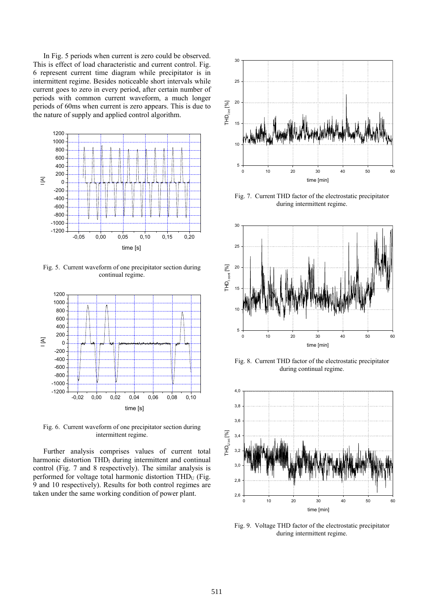In Fig. 5 periods when current is zero could be observed. This is effect of load characteristic and current control. Fig. 6 represent current time diagram while precipitator is in intermittent regime. Besides noticeable short intervals while current goes to zero in every period, after certain number of periods with common current waveform, a much longer periods of 60ms when current is zero appears. This is due to the nature of supply and applied control algorithm.



Fig. 5. Current waveform of one precipitator section during continual regime.



Fig. 6. Current waveform of one precipitator section during intermittent regime.

Further analysis comprises values of current total harmonic distortion  $THD<sub>I</sub>$  during intermittent and continual control (Fig. 7 and 8 respectively). The similar analysis is performed for voltage total harmonic distortion  $THD<sub>U</sub>$  (Fig. 9 and 10 respectively). Results for both control regimes are taken under the same working condition of power plant.



Fig. 7. Current THD factor of the electrostatic precipitator during intermittent regime.



Fig. 8. Current THD factor of the electrostatic precipitator during continual regime.



Fig. 9. Voltage THD factor of the electrostatic precipitator during intermittent regime.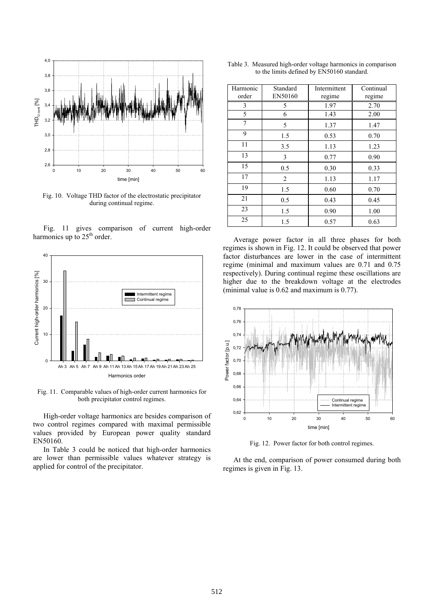

Fig. 10. Voltage THD factor of the electrostatic precipitator during continual regime.





Fig. 11. Comparable values of high-order current harmonics for both precipitator control regimes.

High-order voltage harmonics are besides comparison of two control regimes compared with maximal permissible values provided by European power quality standard EN50160.

In Table 3 could be noticed that high-order harmonics are lower than permissible values whatever strategy is applied for control of the precipitator.

| Harmonic<br>order | Standard<br>EN50160 | Intermittent<br>regime | Continual<br>regime |
|-------------------|---------------------|------------------------|---------------------|
| 3                 | 5                   | 1.97                   | 2.70                |
| 5                 | 6                   | 1.43                   | 2.00                |
| 7                 | 5                   | 1.37                   | 1.47                |
| 9                 | 1.5                 | 0.53                   | 0.70                |
| 11                | 3.5                 | 1.13                   | 1.23                |
| 13                | 3                   | 0.77                   | 0.90                |
| 15                | 0.5                 | 0.30                   | 0.33                |
| 17                | $\overline{2}$      | 1.13                   | 1.17                |
| 19                | 1.5                 | 0.60                   | 0.70                |
| 21                | 0.5                 | 0.43                   | 0.45                |
| 23                | 1.5                 | 0.90                   | 1.00                |
| 25                | 1.5                 | 0.57                   | 0.63                |

Average power factor in all three phases for both regimes is shown in Fig. 12. It could be observed that power factor disturbances are lower in the case of intermittent regime (minimal and maximum values are 0.71 and 0.75 respectively). During continual regime these oscillations are higher due to the breakdown voltage at the electrodes (minimal value is 0.62 and maximum is 0.77).



Fig. 12. Power factor for both control regimes.

 At the end, comparison of power consumed during both regimes is given in Fig. 13.

Table 3. Measured high-order voltage harmonics in comparison to the limits defined by EN50160 standard.